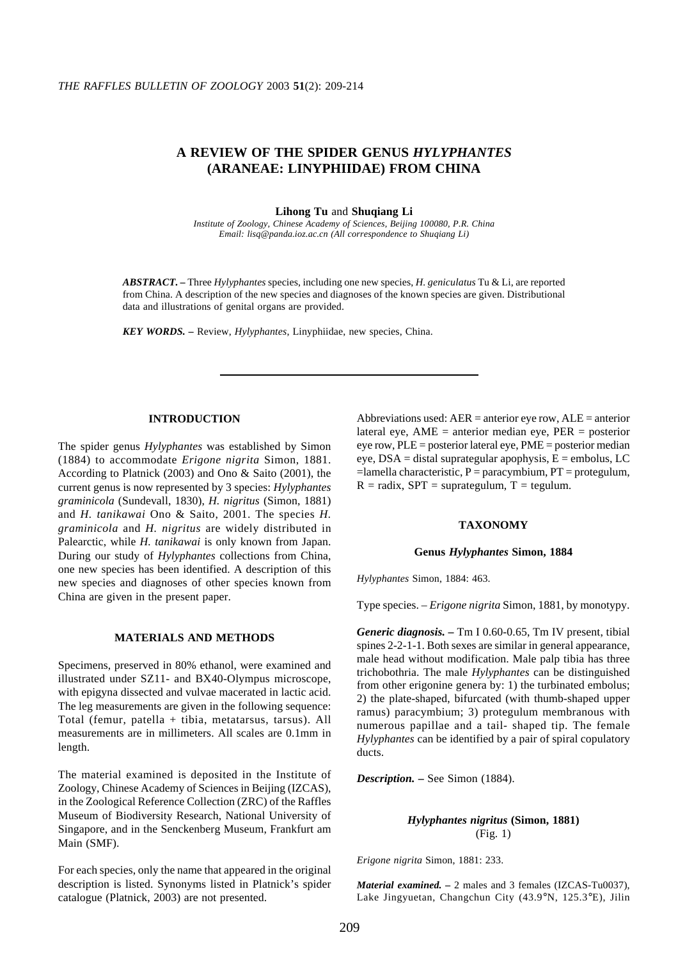# **A REVIEW OF THE SPIDER GENUS** *HYLYPHANTES* **(ARANEAE: LINYPHIIDAE) FROM CHINA**

**Lihong Tu** and **Shuqiang Li**

*Institute of Zoology, Chinese Academy of Sciences, Beijing 100080, P.R. China Email: lisq@panda.ioz.ac.cn (All correspondence to Shuqiang Li)*

*ABSTRACT. –* Three *Hylyphantes* species, including one new species, *H. geniculatus* Tu & Li, are reported from China. A description of the new species and diagnoses of the known species are given. Distributional data and illustrations of genital organs are provided.

*KEY WORDS. –* Review, *Hylyphantes*, Linyphiidae, new species, China.

## **INTRODUCTION**

The spider genus *Hylyphantes* was established by Simon (1884) to accommodate *Erigone nigrita* Simon, 1881. According to Platnick (2003) and Ono & Saito (2001), the current genus is now represented by 3 species: *Hylyphantes graminicola* (Sundevall, 1830), *H. nigritus* (Simon, 1881) and *H. tanikawai* Ono & Saito, 2001. The species *H. graminicola* and *H. nigritus* are widely distributed in Palearctic, while *H. tanikawai* is only known from Japan. During our study of *Hylyphantes* collections from China, one new species has been identified. A description of this new species and diagnoses of other species known from China are given in the present paper.

## **MATERIALS AND METHODS**

Specimens, preserved in 80% ethanol, were examined and illustrated under SZ11- and BX40-Olympus microscope, with epigyna dissected and vulvae macerated in lactic acid. The leg measurements are given in the following sequence: Total (femur, patella + tibia, metatarsus, tarsus). All measurements are in millimeters. All scales are 0.1mm in length.

The material examined is deposited in the Institute of Zoology, Chinese Academy of Sciences in Beijing (IZCAS), in the Zoological Reference Collection (ZRC) of the Raffles Museum of Biodiversity Research, National University of Singapore, and in the Senckenberg Museum, Frankfurt am Main (SMF).

For each species, only the name that appeared in the original description is listed. Synonyms listed in Platnick's spider catalogue (Platnick, 2003) are not presented.

Abbreviations used:  $AER =$  anterior eye row,  $ALE =$  anterior lateral eye,  $AME = anterior$  median eye,  $PER = posterior$ eye row, PLE = posterior lateral eye, PME = posterior median eye,  $DSA = distal$  suprategular apophysis,  $E =$  embolus, LC  $=$ lamella characteristic, P = paracymbium, PT = protegulum,  $R =$  radix, SPT = suprategulum, T = tegulum.

#### **TAXONOMY**

#### **Genus** *Hylyphantes* **Simon, 1884**

*Hylyphantes* Simon, 1884: 463.

Type species. – *Erigone nigrita* Simon, 1881, by monotypy.

*Generic diagnosis. –* Tm I 0.60-0.65, Tm IV present, tibial spines 2-2-1-1. Both sexes are similar in general appearance, male head without modification. Male palp tibia has three trichobothria. The male *Hylyphantes* can be distinguished from other erigonine genera by: 1) the turbinated embolus; 2) the plate-shaped, bifurcated (with thumb-shaped upper ramus) paracymbium; 3) protegulum membranous with numerous papillae and a tail- shaped tip. The female *Hylyphantes* can be identified by a pair of spiral copulatory ducts.

*Description. –* See Simon (1884).

## *Hylyphantes nigritus* **(Simon, 1881)** (Fig. 1)

*Erigone nigrita* Simon, 1881: 233.

*Material examined. –* 2 males and 3 females (IZCAS-Tu0037), Lake Jingyuetan, Changchun City (43.9°N, 125.3°E), Jilin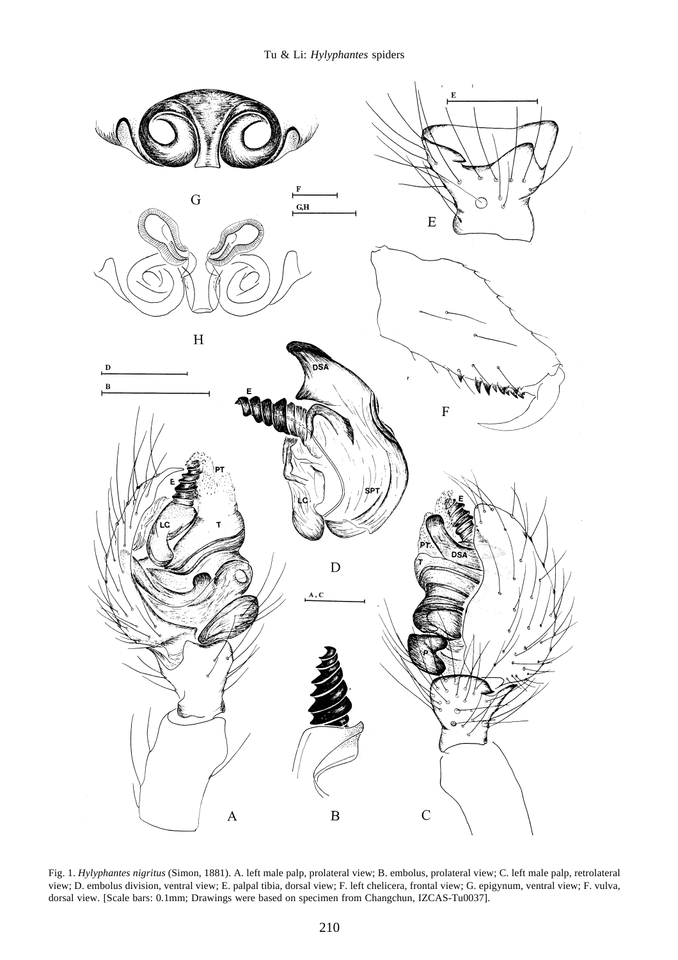

Fig. 1. *Hylyphantes nigritus* (Simon, 1881). A. left male palp, prolateral view; B. embolus, prolateral view; C. left male palp, retrolateral view; D. embolus division, ventral view; E. palpal tibia, dorsal view; F. left chelicera, frontal view; G. epigynum, ventral view; F. vulva, dorsal view. [Scale bars: 0.1mm; Drawings were based on specimen from Changchun, IZCAS-Tu0037].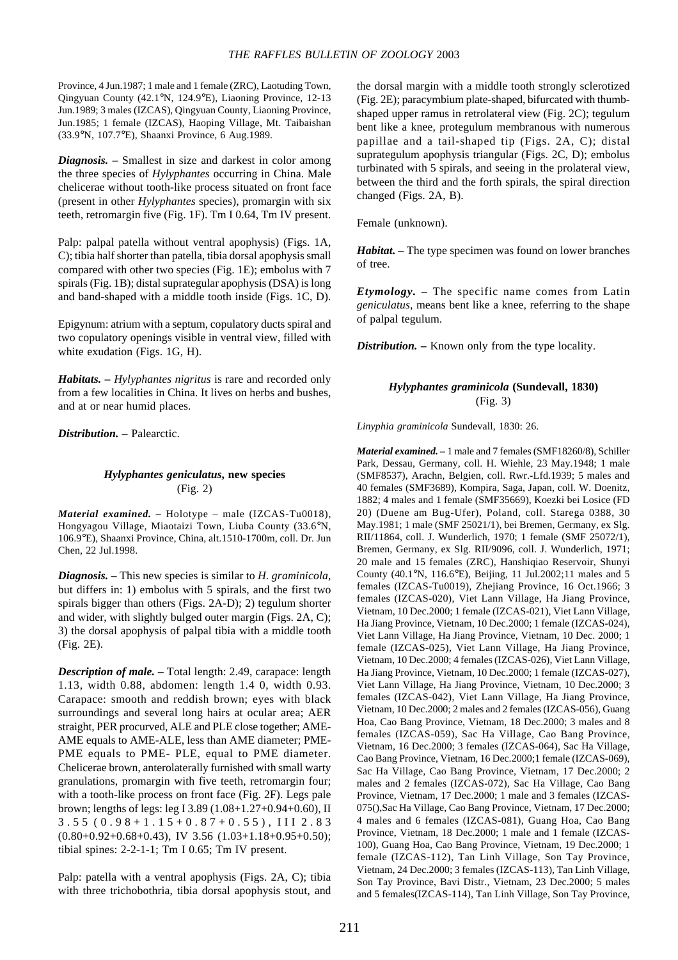Province, 4 Jun.1987; 1 male and 1 female (ZRC), Laotuding Town, Qingyuan County (42.1°N, 124.9°E), Liaoning Province, 12-13 Jun.1989; 3 males (IZCAS), Qingyuan County, Liaoning Province, Jun.1985; 1 female (IZCAS), Haoping Village, Mt. Taibaishan (33.9°N, 107.7°E), Shaanxi Province, 6 Aug.1989.

*Diagnosis. –* Smallest in size and darkest in color among the three species of *Hylyphantes* occurring in China. Male chelicerae without tooth-like process situated on front face (present in other *Hylyphantes* species), promargin with six teeth, retromargin five (Fig. 1F). Tm I 0.64, Tm IV present.

Palp: palpal patella without ventral apophysis) (Figs. 1A, C); tibia half shorter than patella, tibia dorsal apophysis small compared with other two species (Fig. 1E); embolus with 7 spirals (Fig. 1B); distal suprategular apophysis (DSA) is long and band-shaped with a middle tooth inside (Figs. 1C, D).

Epigynum: atrium with a septum, copulatory ducts spiral and two copulatory openings visible in ventral view, filled with white exudation (Figs. 1G, H).

*Habitats. – Hylyphantes nigritus* is rare and recorded only from a few localities in China. It lives on herbs and bushes, and at or near humid places.

*Distribution. –* Palearctic.

## *Hylyphantes geniculatus***, new species** (Fig. 2)

*Material examined. –* Holotype – male (IZCAS-Tu0018), Hongyagou Village, Miaotaizi Town, Liuba County (33.6°N, 106.9°E), Shaanxi Province, China, alt.1510-1700m, coll. Dr. Jun Chen, 22 Jul.1998.

*Diagnosis. –* This new species is similar to *H. graminicola*, but differs in: 1) embolus with 5 spirals, and the first two spirals bigger than others (Figs. 2A-D); 2) tegulum shorter and wider, with slightly bulged outer margin (Figs. 2A, C); 3) the dorsal apophysis of palpal tibia with a middle tooth (Fig. 2E).

*Description of male. –* Total length: 2.49, carapace: length 1.13, width 0.88, abdomen: length 1.4 0, width 0.93. Carapace: smooth and reddish brown; eyes with black surroundings and several long hairs at ocular area; AER straight, PER procurved, ALE and PLE close together; AME-AME equals to AME-ALE, less than AME diameter; PME-PME equals to PME- PLE, equal to PME diameter. Chelicerae brown, anterolaterally furnished with small warty granulations, promargin with five teeth, retromargin four; with a tooth-like process on front face (Fig. 2F). Legs pale brown; lengths of legs: leg I 3.89 (1.08+1.27+0.94+0.60), II 3.55 (0.98+1.15+0.87+0.55), III 2.83  $(0.80+0.92+0.68+0.43)$ , IV 3.56  $(1.03+1.18+0.95+0.50)$ ; tibial spines: 2-2-1-1; Tm I 0.65; Tm IV present.

Palp: patella with a ventral apophysis (Figs. 2A, C); tibia with three trichobothria, tibia dorsal apophysis stout, and the dorsal margin with a middle tooth strongly sclerotized (Fig. 2E); paracymbium plate-shaped, bifurcated with thumbshaped upper ramus in retrolateral view (Fig. 2C); tegulum bent like a knee, protegulum membranous with numerous papillae and a tail-shaped tip (Figs. 2A, C); distal suprategulum apophysis triangular (Figs. 2C, D); embolus turbinated with 5 spirals, and seeing in the prolateral view, between the third and the forth spirals, the spiral direction changed (Figs. 2A, B).

Female (unknown).

*Habitat. –* The type specimen was found on lower branches of tree.

*Etymology. –* The specific name comes from Latin *geniculatus*, means bent like a knee, referring to the shape of palpal tegulum.

*Distribution. –* Known only from the type locality.

# *Hylyphantes graminicola* **(Sundevall, 1830)** (Fig. 3)

*Linyphia graminicola* Sundevall, 1830: 26.

*Material examined. –* 1 male and 7 females (SMF18260/8), Schiller Park, Dessau, Germany, coll. H. Wiehle, 23 May.1948; 1 male (SMF8537), Arachn, Belgien, coll. Rwr.-Lfd.1939; 5 males and 40 females (SMF3689), Kompira, Saga, Japan, coll. W. Doenitz, 1882; 4 males and 1 female (SMF35669), Koezki bei Losice (FD 20) (Duene am Bug-Ufer), Poland, coll. Starega 0388, 30 May.1981; 1 male (SMF 25021/1), bei Bremen, Germany, ex Slg. RII/11864, coll. J. Wunderlich, 1970; 1 female (SMF 25072/1), Bremen, Germany, ex Slg. RII/9096, coll. J. Wunderlich, 1971; 20 male and 15 females (ZRC), Hanshiqiao Reservoir, Shunyi County (40.1°N, 116.6°E), Beijing, 11 Jul.2002;11 males and 5 females (IZCAS-Tu0019), Zhejiang Province, 16 Oct.1966; 3 females (IZCAS-020), Viet Lann Village, Ha Jiang Province, Vietnam, 10 Dec.2000; 1 female (IZCAS-021), Viet Lann Village, Ha Jiang Province, Vietnam, 10 Dec.2000; 1 female (IZCAS-024), Viet Lann Village, Ha Jiang Province, Vietnam, 10 Dec. 2000; 1 female (IZCAS-025), Viet Lann Village, Ha Jiang Province, Vietnam, 10 Dec.2000; 4 females (IZCAS-026), Viet Lann Village, Ha Jiang Province, Vietnam, 10 Dec.2000; 1 female (IZCAS-027), Viet Lann Village, Ha Jiang Province, Vietnam, 10 Dec.2000; 3 females (IZCAS-042), Viet Lann Village, Ha Jiang Province, Vietnam, 10 Dec.2000; 2 males and 2 females (IZCAS-056), Guang Hoa, Cao Bang Province, Vietnam, 18 Dec.2000; 3 males and 8 females (IZCAS-059), Sac Ha Village, Cao Bang Province, Vietnam, 16 Dec.2000; 3 females (IZCAS-064), Sac Ha Village, Cao Bang Province, Vietnam, 16 Dec.2000;1 female (IZCAS-069), Sac Ha Village, Cao Bang Province, Vietnam, 17 Dec.2000; 2 males and 2 females (IZCAS-072), Sac Ha Village, Cao Bang Province, Vietnam, 17 Dec.2000; 1 male and 3 females (IZCAS-075(),Sac Ha Village, Cao Bang Province, Vietnam, 17 Dec.2000; 4 males and 6 females (IZCAS-081), Guang Hoa, Cao Bang Province, Vietnam, 18 Dec.2000; 1 male and 1 female (IZCAS-100), Guang Hoa, Cao Bang Province, Vietnam, 19 Dec.2000; 1 female (IZCAS-112), Tan Linh Village, Son Tay Province, Vietnam, 24 Dec.2000; 3 females (IZCAS-113), Tan Linh Village, Son Tay Province, Bavi Distr., Vietnam, 23 Dec.2000; 5 males and 5 females(IZCAS-114), Tan Linh Village, Son Tay Province,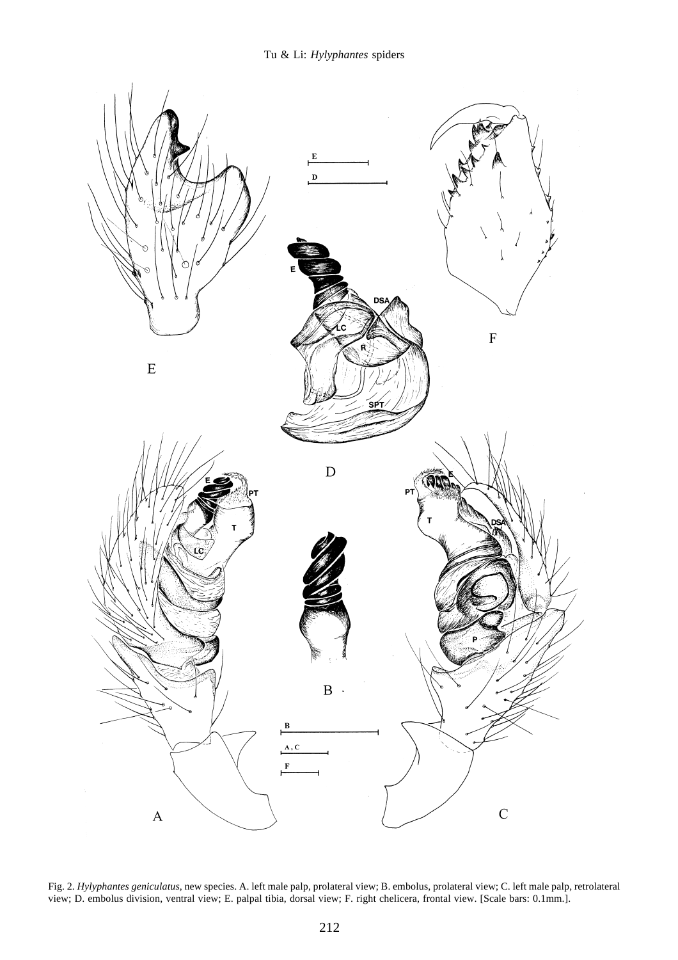

Fig. 2. *Hylyphantes geniculatus*, new species. A. left male palp, prolateral view; B. embolus, prolateral view; C. left male palp, retrolateral view; D. embolus division, ventral view; E. palpal tibia, dorsal view; F. right chelicera, frontal view. [Scale bars: 0.1mm.].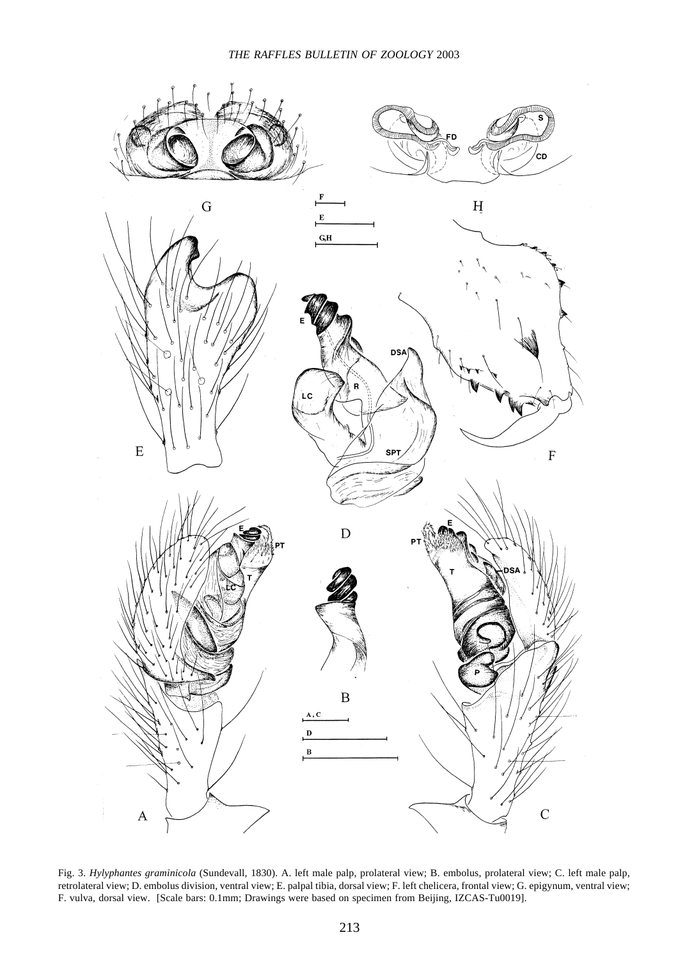

Fig. 3. *Hylyphantes graminicola* (Sundevall, 1830). A. left male palp, prolateral view; B. embolus, prolateral view; C. left male palp, retrolateral view; D. embolus division, ventral view; E. palpal tibia, dorsal view; F. left chelicera, frontal view; G. epigynum, ventral view; F. vulva, dorsal view. [Scale bars: 0.1mm; Drawings were based on specimen from Beijing, IZCAS-Tu0019].